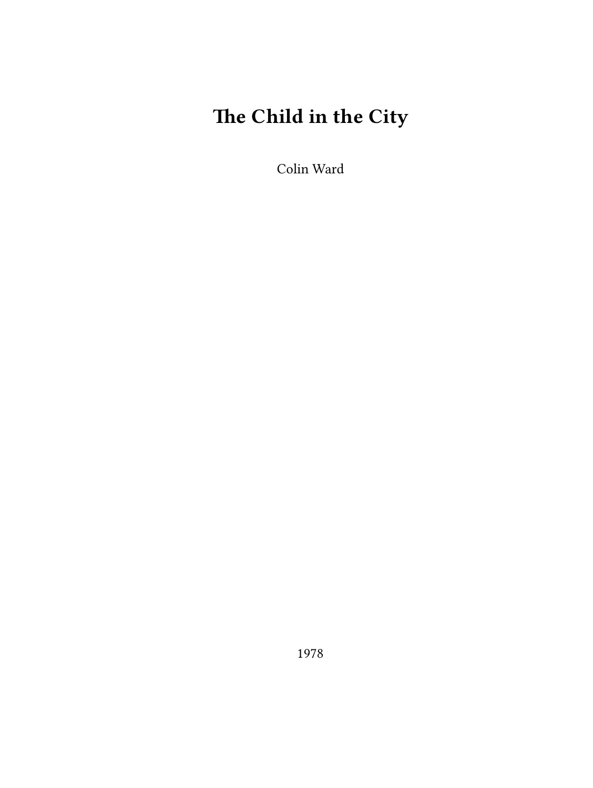# **The Child in the City**

Colin Ward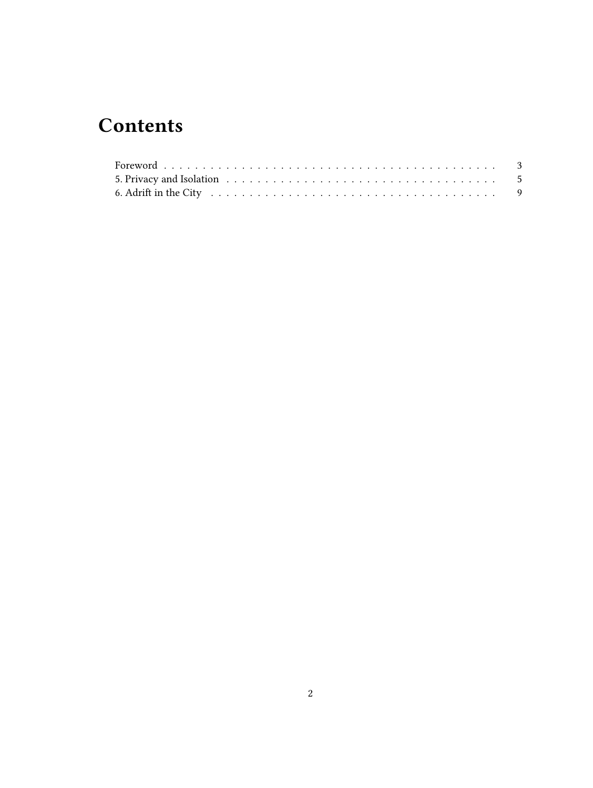# **Contents**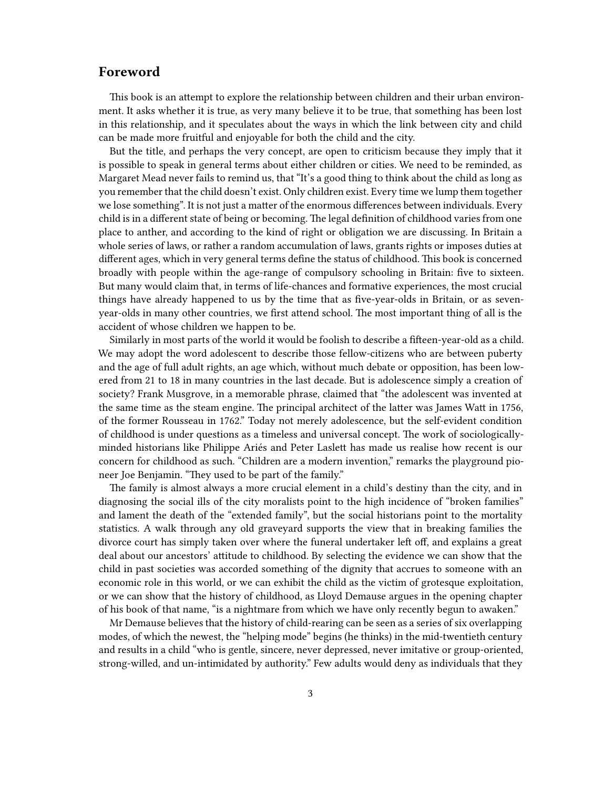### <span id="page-2-0"></span>**Foreword**

This book is an attempt to explore the relationship between children and their urban environment. It asks whether it is true, as very many believe it to be true, that something has been lost in this relationship, and it speculates about the ways in which the link between city and child can be made more fruitful and enjoyable for both the child and the city.

But the title, and perhaps the very concept, are open to criticism because they imply that it is possible to speak in general terms about either children or cities. We need to be reminded, as Margaret Mead never fails to remind us, that "It's a good thing to think about the child as long as you remember that the child doesn't exist. Only children exist. Every time we lump them together we lose something". It is not just a matter of the enormous differences between individuals. Every child is in a different state of being or becoming. The legal definition of childhood varies from one place to anther, and according to the kind of right or obligation we are discussing. In Britain a whole series of laws, or rather a random accumulation of laws, grants rights or imposes duties at different ages, which in very general terms define the status of childhood. This book is concerned broadly with people within the age-range of compulsory schooling in Britain: five to sixteen. But many would claim that, in terms of life-chances and formative experiences, the most crucial things have already happened to us by the time that as five-year-olds in Britain, or as sevenyear-olds in many other countries, we first attend school. The most important thing of all is the accident of whose children we happen to be.

Similarly in most parts of the world it would be foolish to describe a fifteen-year-old as a child. We may adopt the word adolescent to describe those fellow-citizens who are between puberty and the age of full adult rights, an age which, without much debate or opposition, has been lowered from 21 to 18 in many countries in the last decade. But is adolescence simply a creation of society? Frank Musgrove, in a memorable phrase, claimed that "the adolescent was invented at the same time as the steam engine. The principal architect of the latter was James Watt in 1756, of the former Rousseau in 1762." Today not merely adolescence, but the self-evident condition of childhood is under questions as a timeless and universal concept. The work of sociologicallyminded historians like Philippe Ariés and Peter Laslett has made us realise how recent is our concern for childhood as such. "Children are a modern invention," remarks the playground pioneer Joe Benjamin. "They used to be part of the family."

The family is almost always a more crucial element in a child's destiny than the city, and in diagnosing the social ills of the city moralists point to the high incidence of "broken families" and lament the death of the "extended family", but the social historians point to the mortality statistics. A walk through any old graveyard supports the view that in breaking families the divorce court has simply taken over where the funeral undertaker left off, and explains a great deal about our ancestors' attitude to childhood. By selecting the evidence we can show that the child in past societies was accorded something of the dignity that accrues to someone with an economic role in this world, or we can exhibit the child as the victim of grotesque exploitation, or we can show that the history of childhood, as Lloyd Demause argues in the opening chapter of his book of that name, "is a nightmare from which we have only recently begun to awaken."

Mr Demause believes that the history of child-rearing can be seen as a series of six overlapping modes, of which the newest, the "helping mode" begins (he thinks) in the mid-twentieth century and results in a child "who is gentle, sincere, never depressed, never imitative or group-oriented, strong-willed, and un-intimidated by authority." Few adults would deny as individuals that they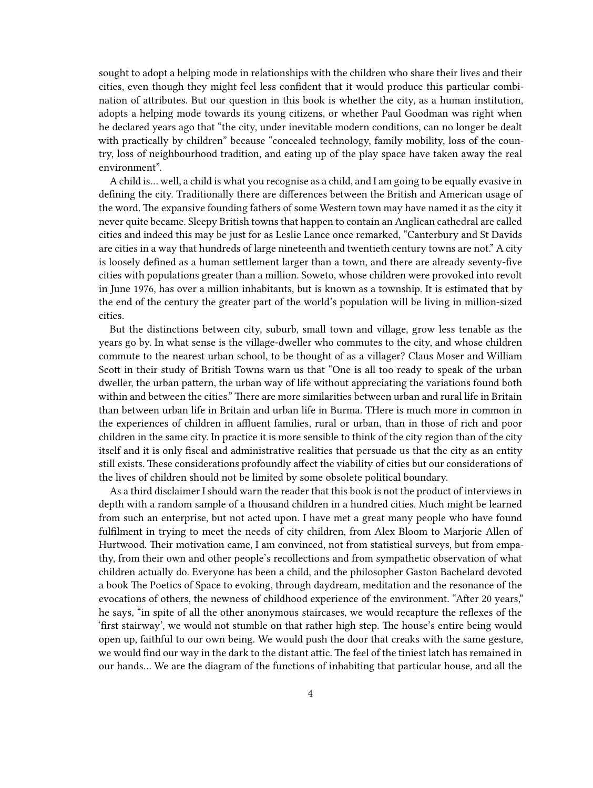sought to adopt a helping mode in relationships with the children who share their lives and their cities, even though they might feel less confident that it would produce this particular combination of attributes. But our question in this book is whether the city, as a human institution, adopts a helping mode towards its young citizens, or whether Paul Goodman was right when he declared years ago that "the city, under inevitable modern conditions, can no longer be dealt with practically by children" because "concealed technology, family mobility, loss of the country, loss of neighbourhood tradition, and eating up of the play space have taken away the real environment".

A child is… well, a child is what you recognise as a child, and I am going to be equally evasive in defining the city. Traditionally there are differences between the British and American usage of the word. The expansive founding fathers of some Western town may have named it as the city it never quite became. Sleepy British towns that happen to contain an Anglican cathedral are called cities and indeed this may be just for as Leslie Lance once remarked, "Canterbury and St Davids are cities in a way that hundreds of large nineteenth and twentieth century towns are not." A city is loosely defined as a human settlement larger than a town, and there are already seventy-five cities with populations greater than a million. Soweto, whose children were provoked into revolt in June 1976, has over a million inhabitants, but is known as a township. It is estimated that by the end of the century the greater part of the world's population will be living in million-sized cities.

But the distinctions between city, suburb, small town and village, grow less tenable as the years go by. In what sense is the village-dweller who commutes to the city, and whose children commute to the nearest urban school, to be thought of as a villager? Claus Moser and William Scott in their study of British Towns warn us that "One is all too ready to speak of the urban dweller, the urban pattern, the urban way of life without appreciating the variations found both within and between the cities." There are more similarities between urban and rural life in Britain than between urban life in Britain and urban life in Burma. THere is much more in common in the experiences of children in affluent families, rural or urban, than in those of rich and poor children in the same city. In practice it is more sensible to think of the city region than of the city itself and it is only fiscal and administrative realities that persuade us that the city as an entity still exists. These considerations profoundly affect the viability of cities but our considerations of the lives of children should not be limited by some obsolete political boundary.

As a third disclaimer I should warn the reader that this book is not the product of interviews in depth with a random sample of a thousand children in a hundred cities. Much might be learned from such an enterprise, but not acted upon. I have met a great many people who have found fulfilment in trying to meet the needs of city children, from Alex Bloom to Marjorie Allen of Hurtwood. Their motivation came, I am convinced, not from statistical surveys, but from empathy, from their own and other people's recollections and from sympathetic observation of what children actually do. Everyone has been a child, and the philosopher Gaston Bachelard devoted a book The Poetics of Space to evoking, through daydream, meditation and the resonance of the evocations of others, the newness of childhood experience of the environment. "After 20 years," he says, "in spite of all the other anonymous staircases, we would recapture the reflexes of the 'first stairway', we would not stumble on that rather high step. The house's entire being would open up, faithful to our own being. We would push the door that creaks with the same gesture, we would find our way in the dark to the distant attic. The feel of the tiniest latch has remained in our hands… We are the diagram of the functions of inhabiting that particular house, and all the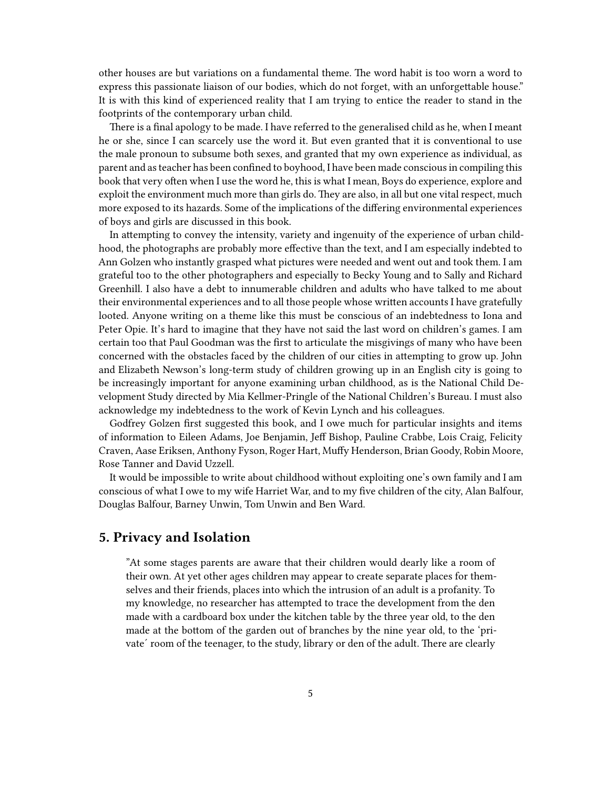other houses are but variations on a fundamental theme. The word habit is too worn a word to express this passionate liaison of our bodies, which do not forget, with an unforgettable house." It is with this kind of experienced reality that I am trying to entice the reader to stand in the footprints of the contemporary urban child.

There is a final apology to be made. I have referred to the generalised child as he, when I meant he or she, since I can scarcely use the word it. But even granted that it is conventional to use the male pronoun to subsume both sexes, and granted that my own experience as individual, as parent and as teacher has been confined to boyhood, I have been made conscious in compiling this book that very often when I use the word he, this is what I mean, Boys do experience, explore and exploit the environment much more than girls do. They are also, in all but one vital respect, much more exposed to its hazards. Some of the implications of the differing environmental experiences of boys and girls are discussed in this book.

In attempting to convey the intensity, variety and ingenuity of the experience of urban childhood, the photographs are probably more effective than the text, and I am especially indebted to Ann Golzen who instantly grasped what pictures were needed and went out and took them. I am grateful too to the other photographers and especially to Becky Young and to Sally and Richard Greenhill. I also have a debt to innumerable children and adults who have talked to me about their environmental experiences and to all those people whose written accounts I have gratefully looted. Anyone writing on a theme like this must be conscious of an indebtedness to Iona and Peter Opie. It's hard to imagine that they have not said the last word on children's games. I am certain too that Paul Goodman was the first to articulate the misgivings of many who have been concerned with the obstacles faced by the children of our cities in attempting to grow up. John and Elizabeth Newson's long-term study of children growing up in an English city is going to be increasingly important for anyone examining urban childhood, as is the National Child Development Study directed by Mia Kellmer-Pringle of the National Children's Bureau. I must also acknowledge my indebtedness to the work of Kevin Lynch and his colleagues.

Godfrey Golzen first suggested this book, and I owe much for particular insights and items of information to Eileen Adams, Joe Benjamin, Jeff Bishop, Pauline Crabbe, Lois Craig, Felicity Craven, Aase Eriksen, Anthony Fyson, Roger Hart, Muffy Henderson, Brian Goody, Robin Moore, Rose Tanner and David Uzzell.

It would be impossible to write about childhood without exploiting one's own family and I am conscious of what I owe to my wife Harriet War, and to my five children of the city, Alan Balfour, Douglas Balfour, Barney Unwin, Tom Unwin and Ben Ward.

#### <span id="page-4-0"></span>**5. Privacy and Isolation**

"At some stages parents are aware that their children would dearly like a room of their own. At yet other ages children may appear to create separate places for themselves and their friends, places into which the intrusion of an adult is a profanity. To my knowledge, no researcher has attempted to trace the development from the den made with a cardboard box under the kitchen table by the three year old, to the den made at the bottom of the garden out of branches by the nine year old, to the 'private´ room of the teenager, to the study, library or den of the adult. There are clearly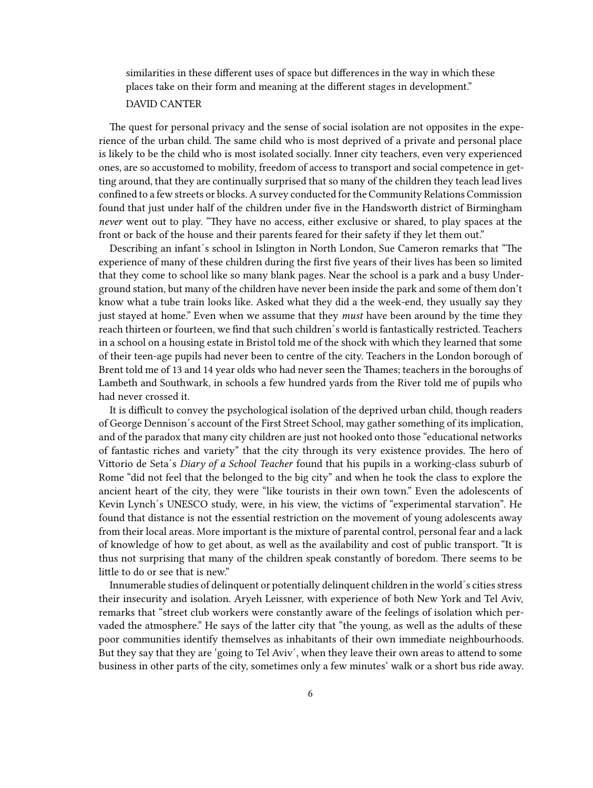similarities in these different uses of space but differences in the way in which these places take on their form and meaning at the different stages in development."

#### DAVID CANTER

The quest for personal privacy and the sense of social isolation are not opposites in the experience of the urban child. The same child who is most deprived of a private and personal place is likely to be the child who is most isolated socially. Inner city teachers, even very experienced ones, are so accustomed to mobility, freedom of access to transport and social competence in getting around, that they are continually surprised that so many of the children they teach lead lives confined to a few streets or blocks. A survey conducted for the Community Relations Commission found that just under half of the children under five in the Handsworth district of Birmingham *never* went out to play. "They have no access, either exclusive or shared, to play spaces at the front or back of the house and their parents feared for their safety if they let them out."

Describing an infant´s school in Islington in North London, Sue Cameron remarks that "The experience of many of these children during the first five years of their lives has been so limited that they come to school like so many blank pages. Near the school is a park and a busy Underground station, but many of the children have never been inside the park and some of them don't know what a tube train looks like. Asked what they did a the week-end, they usually say they just stayed at home." Even when we assume that they *must* have been around by the time they reach thirteen or fourteen, we find that such children´s world is fantastically restricted. Teachers in a school on a housing estate in Bristol told me of the shock with which they learned that some of their teen-age pupils had never been to centre of the city. Teachers in the London borough of Brent told me of 13 and 14 year olds who had never seen the Thames; teachers in the boroughs of Lambeth and Southwark, in schools a few hundred yards from the River told me of pupils who had never crossed it.

It is difficult to convey the psychological isolation of the deprived urban child, though readers of George Dennison´s account of the First Street School, may gather something of its implication, and of the paradox that many city children are just not hooked onto those "educational networks of fantastic riches and variety" that the city through its very existence provides. The hero of Vittorio de Seta´s *Diary of a School Teacher* found that his pupils in a working-class suburb of Rome "did not feel that the belonged to the big city" and when he took the class to explore the ancient heart of the city, they were "like tourists in their own town." Even the adolescents of Kevin Lynch´s UNESCO study, were, in his view, the victims of "experimental starvation". He found that distance is not the essential restriction on the movement of young adolescents away from their local areas. More important is the mixture of parental control, personal fear and a lack of knowledge of how to get about, as well as the availability and cost of public transport. "It is thus not surprising that many of the children speak constantly of boredom. There seems to be little to do or see that is new."

Innumerable studies of delinquent or potentially delinquent children in the world´s cities stress their insecurity and isolation. Aryeh Leissner, with experience of both New York and Tel Aviv, remarks that "street club workers were constantly aware of the feelings of isolation which pervaded the atmosphere." He says of the latter city that "the young, as well as the adults of these poor communities identify themselves as inhabitants of their own immediate neighbourhoods. But they say that they are 'going to Tel Aviv´, when they leave their own areas to attend to some business in other parts of the city, sometimes only a few minutes' walk or a short bus ride away.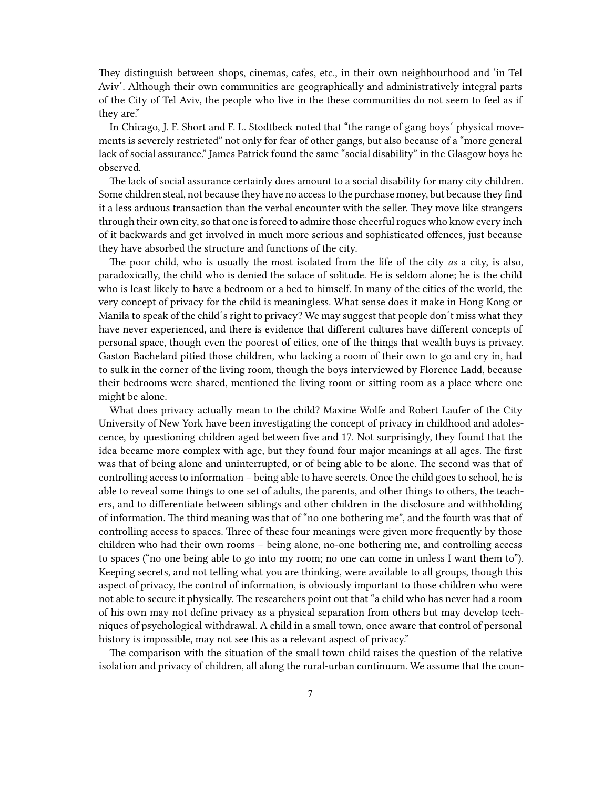They distinguish between shops, cinemas, cafes, etc., in their own neighbourhood and 'in Tel Aviv´. Although their own communities are geographically and administratively integral parts of the City of Tel Aviv, the people who live in the these communities do not seem to feel as if they are."

In Chicago, J. F. Short and F. L. Stodtbeck noted that "the range of gang boys´ physical movements is severely restricted" not only for fear of other gangs, but also because of a "more general lack of social assurance." James Patrick found the same "social disability" in the Glasgow boys he observed.

The lack of social assurance certainly does amount to a social disability for many city children. Some children steal, not because they have no access to the purchase money, but because they find it a less arduous transaction than the verbal encounter with the seller. They move like strangers through their own city, so that one is forced to admire those cheerful rogues who know every inch of it backwards and get involved in much more serious and sophisticated offences, just because they have absorbed the structure and functions of the city.

The poor child, who is usually the most isolated from the life of the city *as* a city, is also, paradoxically, the child who is denied the solace of solitude. He is seldom alone; he is the child who is least likely to have a bedroom or a bed to himself. In many of the cities of the world, the very concept of privacy for the child is meaningless. What sense does it make in Hong Kong or Manila to speak of the child´s right to privacy? We may suggest that people don´t miss what they have never experienced, and there is evidence that different cultures have different concepts of personal space, though even the poorest of cities, one of the things that wealth buys is privacy. Gaston Bachelard pitied those children, who lacking a room of their own to go and cry in, had to sulk in the corner of the living room, though the boys interviewed by Florence Ladd, because their bedrooms were shared, mentioned the living room or sitting room as a place where one might be alone.

What does privacy actually mean to the child? Maxine Wolfe and Robert Laufer of the City University of New York have been investigating the concept of privacy in childhood and adolescence, by questioning children aged between five and 17. Not surprisingly, they found that the idea became more complex with age, but they found four major meanings at all ages. The first was that of being alone and uninterrupted, or of being able to be alone. The second was that of controlling access to information – being able to have secrets. Once the child goes to school, he is able to reveal some things to one set of adults, the parents, and other things to others, the teachers, and to differentiate between siblings and other children in the disclosure and withholding of information. The third meaning was that of "no one bothering me", and the fourth was that of controlling access to spaces. Three of these four meanings were given more frequently by those children who had their own rooms – being alone, no-one bothering me, and controlling access to spaces ("no one being able to go into my room; no one can come in unless I want them to"). Keeping secrets, and not telling what you are thinking, were available to all groups, though this aspect of privacy, the control of information, is obviously important to those children who were not able to secure it physically. The researchers point out that "a child who has never had a room of his own may not define privacy as a physical separation from others but may develop techniques of psychological withdrawal. A child in a small town, once aware that control of personal history is impossible, may not see this as a relevant aspect of privacy."

The comparison with the situation of the small town child raises the question of the relative isolation and privacy of children, all along the rural-urban continuum. We assume that the coun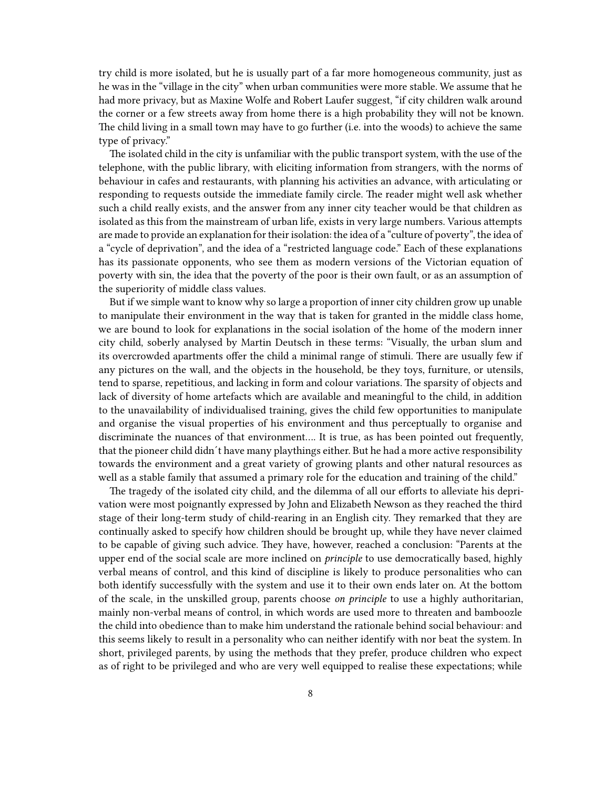try child is more isolated, but he is usually part of a far more homogeneous community, just as he was in the "village in the city" when urban communities were more stable. We assume that he had more privacy, but as Maxine Wolfe and Robert Laufer suggest, "if city children walk around the corner or a few streets away from home there is a high probability they will not be known. The child living in a small town may have to go further (i.e. into the woods) to achieve the same type of privacy."

The isolated child in the city is unfamiliar with the public transport system, with the use of the telephone, with the public library, with eliciting information from strangers, with the norms of behaviour in cafes and restaurants, with planning his activities an advance, with articulating or responding to requests outside the immediate family circle. The reader might well ask whether such a child really exists, and the answer from any inner city teacher would be that children as isolated as this from the mainstream of urban life, exists in very large numbers. Various attempts are made to provide an explanation for their isolation: the idea of a "culture of poverty", the idea of a "cycle of deprivation", and the idea of a "restricted language code." Each of these explanations has its passionate opponents, who see them as modern versions of the Victorian equation of poverty with sin, the idea that the poverty of the poor is their own fault, or as an assumption of the superiority of middle class values.

But if we simple want to know why so large a proportion of inner city children grow up unable to manipulate their environment in the way that is taken for granted in the middle class home, we are bound to look for explanations in the social isolation of the home of the modern inner city child, soberly analysed by Martin Deutsch in these terms: "Visually, the urban slum and its overcrowded apartments offer the child a minimal range of stimuli. There are usually few if any pictures on the wall, and the objects in the household, be they toys, furniture, or utensils, tend to sparse, repetitious, and lacking in form and colour variations. The sparsity of objects and lack of diversity of home artefacts which are available and meaningful to the child, in addition to the unavailability of individualised training, gives the child few opportunities to manipulate and organise the visual properties of his environment and thus perceptually to organise and discriminate the nuances of that environment…. It is true, as has been pointed out frequently, that the pioneer child didn´t have many playthings either. But he had a more active responsibility towards the environment and a great variety of growing plants and other natural resources as well as a stable family that assumed a primary role for the education and training of the child."

The tragedy of the isolated city child, and the dilemma of all our efforts to alleviate his deprivation were most poignantly expressed by John and Elizabeth Newson as they reached the third stage of their long-term study of child-rearing in an English city. They remarked that they are continually asked to specify how children should be brought up, while they have never claimed to be capable of giving such advice. They have, however, reached a conclusion: "Parents at the upper end of the social scale are more inclined on *principle* to use democratically based, highly verbal means of control, and this kind of discipline is likely to produce personalities who can both identify successfully with the system and use it to their own ends later on. At the bottom of the scale, in the unskilled group, parents choose *on principle* to use a highly authoritarian, mainly non-verbal means of control, in which words are used more to threaten and bamboozle the child into obedience than to make him understand the rationale behind social behaviour: and this seems likely to result in a personality who can neither identify with nor beat the system. In short, privileged parents, by using the methods that they prefer, produce children who expect as of right to be privileged and who are very well equipped to realise these expectations; while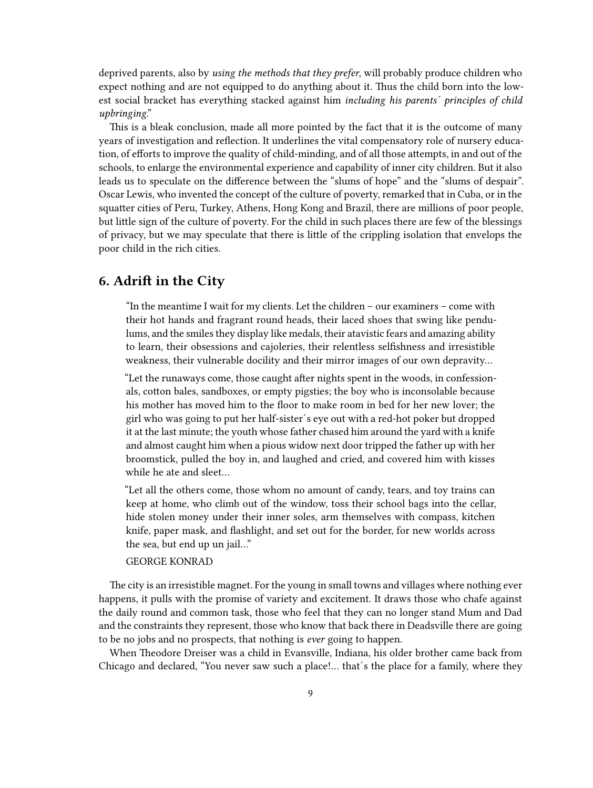deprived parents, also by *using the methods that they prefer*, will probably produce children who expect nothing and are not equipped to do anything about it. Thus the child born into the lowest social bracket has everything stacked against him *including his parents´ principles of child upbringing*."

This is a bleak conclusion, made all more pointed by the fact that it is the outcome of many years of investigation and reflection. It underlines the vital compensatory role of nursery education, of efforts to improve the quality of child-minding, and of all those attempts, in and out of the schools, to enlarge the environmental experience and capability of inner city children. But it also leads us to speculate on the difference between the "slums of hope" and the "slums of despair". Oscar Lewis, who invented the concept of the culture of poverty, remarked that in Cuba, or in the squatter cities of Peru, Turkey, Athens, Hong Kong and Brazil, there are millions of poor people, but little sign of the culture of poverty. For the child in such places there are few of the blessings of privacy, but we may speculate that there is little of the crippling isolation that envelops the poor child in the rich cities.

## <span id="page-8-0"></span>**6. Adrift in the City**

"In the meantime I wait for my clients. Let the children – our examiners – come with their hot hands and fragrant round heads, their laced shoes that swing like pendulums, and the smiles they display like medals, their atavistic fears and amazing ability to learn, their obsessions and cajoleries, their relentless selfishness and irresistible weakness, their vulnerable docility and their mirror images of our own depravity…

"Let the runaways come, those caught after nights spent in the woods, in confessionals, cotton bales, sandboxes, or empty pigsties; the boy who is inconsolable because his mother has moved him to the floor to make room in bed for her new lover; the girl who was going to put her half-sister´s eye out with a red-hot poker but dropped it at the last minute; the youth whose father chased him around the yard with a knife and almost caught him when a pious widow next door tripped the father up with her broomstick, pulled the boy in, and laughed and cried, and covered him with kisses while he ate and sleet…

"Let all the others come, those whom no amount of candy, tears, and toy trains can keep at home, who climb out of the window, toss their school bags into the cellar, hide stolen money under their inner soles, arm themselves with compass, kitchen knife, paper mask, and flashlight, and set out for the border, for new worlds across the sea, but end up un jail…"

#### GEORGE KONRAD

The city is an irresistible magnet. For the young in small towns and villages where nothing ever happens, it pulls with the promise of variety and excitement. It draws those who chafe against the daily round and common task, those who feel that they can no longer stand Mum and Dad and the constraints they represent, those who know that back there in Deadsville there are going to be no jobs and no prospects, that nothing is *ever* going to happen.

When Theodore Dreiser was a child in Evansville, Indiana, his older brother came back from Chicago and declared, "You never saw such a place!… that´s the place for a family, where they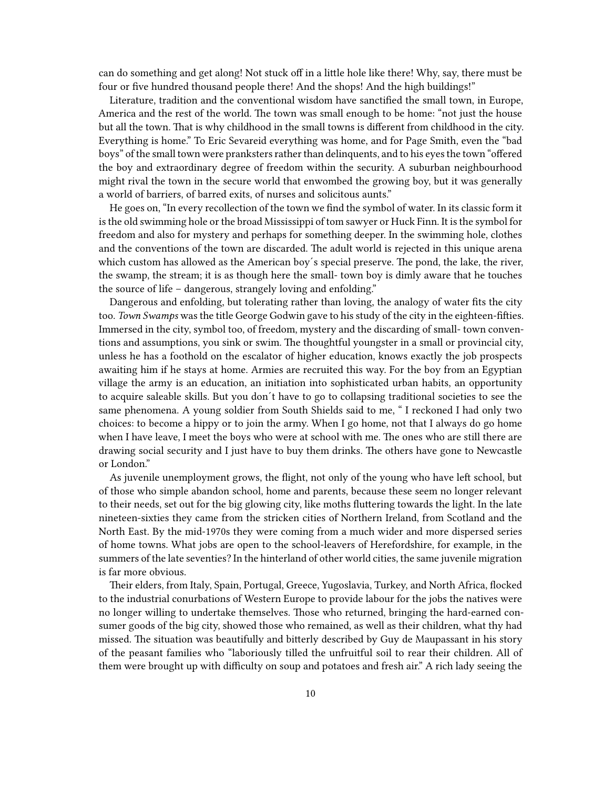can do something and get along! Not stuck off in a little hole like there! Why, say, there must be four or five hundred thousand people there! And the shops! And the high buildings!"

Literature, tradition and the conventional wisdom have sanctified the small town, in Europe, America and the rest of the world. The town was small enough to be home: "not just the house but all the town. That is why childhood in the small towns is different from childhood in the city. Everything is home." To Eric Sevareid everything was home, and for Page Smith, even the "bad boys" of the small town were pranksters rather than delinquents, and to his eyes the town "offered the boy and extraordinary degree of freedom within the security. A suburban neighbourhood might rival the town in the secure world that enwombed the growing boy, but it was generally a world of barriers, of barred exits, of nurses and solicitous aunts."

He goes on, "In every recollection of the town we find the symbol of water. In its classic form it is the old swimming hole or the broad Mississippi of tom sawyer or Huck Finn. It is the symbol for freedom and also for mystery and perhaps for something deeper. In the swimming hole, clothes and the conventions of the town are discarded. The adult world is rejected in this unique arena which custom has allowed as the American boy´s special preserve. The pond, the lake, the river, the swamp, the stream; it is as though here the small- town boy is dimly aware that he touches the source of life – dangerous, strangely loving and enfolding."

Dangerous and enfolding, but tolerating rather than loving, the analogy of water fits the city too. *Town Swamps* was the title George Godwin gave to his study of the city in the eighteen-fifties. Immersed in the city, symbol too, of freedom, mystery and the discarding of small- town conventions and assumptions, you sink or swim. The thoughtful youngster in a small or provincial city, unless he has a foothold on the escalator of higher education, knows exactly the job prospects awaiting him if he stays at home. Armies are recruited this way. For the boy from an Egyptian village the army is an education, an initiation into sophisticated urban habits, an opportunity to acquire saleable skills. But you don´t have to go to collapsing traditional societies to see the same phenomena. A young soldier from South Shields said to me, " I reckoned I had only two choices: to become a hippy or to join the army. When I go home, not that I always do go home when I have leave, I meet the boys who were at school with me. The ones who are still there are drawing social security and I just have to buy them drinks. The others have gone to Newcastle or London."

As juvenile unemployment grows, the flight, not only of the young who have left school, but of those who simple abandon school, home and parents, because these seem no longer relevant to their needs, set out for the big glowing city, like moths fluttering towards the light. In the late nineteen-sixties they came from the stricken cities of Northern Ireland, from Scotland and the North East. By the mid-1970s they were coming from a much wider and more dispersed series of home towns. What jobs are open to the school-leavers of Herefordshire, for example, in the summers of the late seventies? In the hinterland of other world cities, the same juvenile migration is far more obvious.

Their elders, from Italy, Spain, Portugal, Greece, Yugoslavia, Turkey, and North Africa, flocked to the industrial conurbations of Western Europe to provide labour for the jobs the natives were no longer willing to undertake themselves. Those who returned, bringing the hard-earned consumer goods of the big city, showed those who remained, as well as their children, what thy had missed. The situation was beautifully and bitterly described by Guy de Maupassant in his story of the peasant families who "laboriously tilled the unfruitful soil to rear their children. All of them were brought up with difficulty on soup and potatoes and fresh air." A rich lady seeing the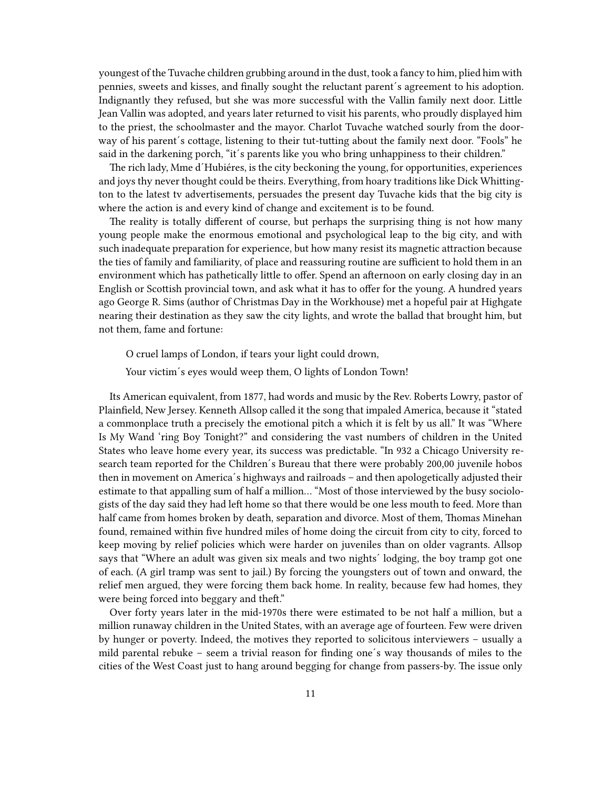youngest of the Tuvache children grubbing around in the dust, took a fancy to him, plied him with pennies, sweets and kisses, and finally sought the reluctant parent´s agreement to his adoption. Indignantly they refused, but she was more successful with the Vallin family next door. Little Jean Vallin was adopted, and years later returned to visit his parents, who proudly displayed him to the priest, the schoolmaster and the mayor. Charlot Tuvache watched sourly from the doorway of his parent´s cottage, listening to their tut-tutting about the family next door. "Fools" he said in the darkening porch, "it´s parents like you who bring unhappiness to their children."

The rich lady, Mme d´Hubiéres, is the city beckoning the young, for opportunities, experiences and joys thy never thought could be theirs. Everything, from hoary traditions like Dick Whittington to the latest tv advertisements, persuades the present day Tuvache kids that the big city is where the action is and every kind of change and excitement is to be found.

The reality is totally different of course, but perhaps the surprising thing is not how many young people make the enormous emotional and psychological leap to the big city, and with such inadequate preparation for experience, but how many resist its magnetic attraction because the ties of family and familiarity, of place and reassuring routine are sufficient to hold them in an environment which has pathetically little to offer. Spend an afternoon on early closing day in an English or Scottish provincial town, and ask what it has to offer for the young. A hundred years ago George R. Sims (author of Christmas Day in the Workhouse) met a hopeful pair at Highgate nearing their destination as they saw the city lights, and wrote the ballad that brought him, but not them, fame and fortune:

O cruel lamps of London, if tears your light could drown,

Your victim´s eyes would weep them, O lights of London Town!

Its American equivalent, from 1877, had words and music by the Rev. Roberts Lowry, pastor of Plainfield, New Jersey. Kenneth Allsop called it the song that impaled America, because it "stated a commonplace truth a precisely the emotional pitch a which it is felt by us all." It was "Where Is My Wand 'ring Boy Tonight?" and considering the vast numbers of children in the United States who leave home every year, its success was predictable. "In 932 a Chicago University research team reported for the Children´s Bureau that there were probably 200,00 juvenile hobos then in movement on America´s highways and railroads – and then apologetically adjusted their estimate to that appalling sum of half a million… "Most of those interviewed by the busy sociologists of the day said they had left home so that there would be one less mouth to feed. More than half came from homes broken by death, separation and divorce. Most of them, Thomas Minehan found, remained within five hundred miles of home doing the circuit from city to city, forced to keep moving by relief policies which were harder on juveniles than on older vagrants. Allsop says that "Where an adult was given six meals and two nights´ lodging, the boy tramp got one of each. (A girl tramp was sent to jail.) By forcing the youngsters out of town and onward, the relief men argued, they were forcing them back home. In reality, because few had homes, they were being forced into beggary and theft."

Over forty years later in the mid-1970s there were estimated to be not half a million, but a million runaway children in the United States, with an average age of fourteen. Few were driven by hunger or poverty. Indeed, the motives they reported to solicitous interviewers – usually a mild parental rebuke – seem a trivial reason for finding one´s way thousands of miles to the cities of the West Coast just to hang around begging for change from passers-by. The issue only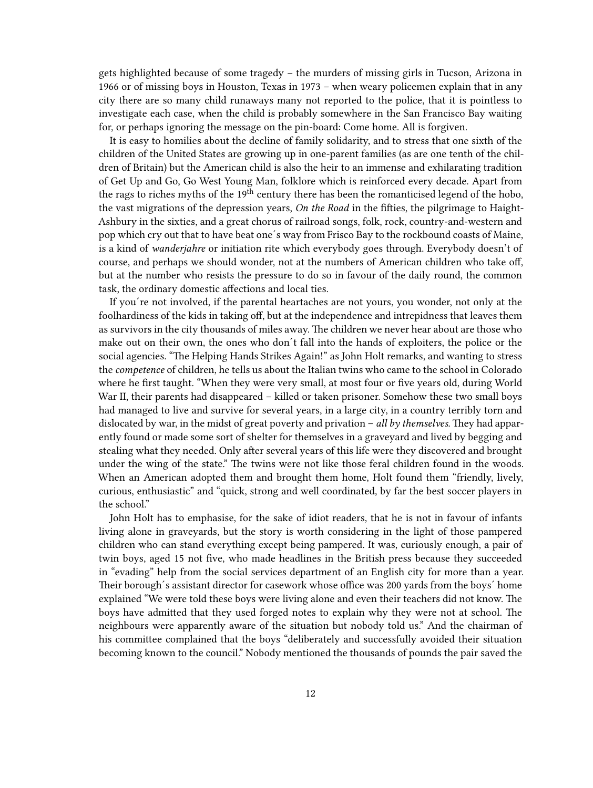gets highlighted because of some tragedy – the murders of missing girls in Tucson, Arizona in 1966 or of missing boys in Houston, Texas in 1973 – when weary policemen explain that in any city there are so many child runaways many not reported to the police, that it is pointless to investigate each case, when the child is probably somewhere in the San Francisco Bay waiting for, or perhaps ignoring the message on the pin-board: Come home. All is forgiven.

It is easy to homilies about the decline of family solidarity, and to stress that one sixth of the children of the United States are growing up in one-parent families (as are one tenth of the children of Britain) but the American child is also the heir to an immense and exhilarating tradition of Get Up and Go, Go West Young Man, folklore which is reinforced every decade. Apart from the rags to riches myths of the  $19<sup>th</sup>$  century there has been the romanticised legend of the hobo, the vast migrations of the depression years, *On the Road* in the fifties, the pilgrimage to Haight-Ashbury in the sixties, and a great chorus of railroad songs, folk, rock, country-and-western and pop which cry out that to have beat one´s way from Frisco Bay to the rockbound coasts of Maine, is a kind of *wanderjahre* or initiation rite which everybody goes through. Everybody doesn't of course, and perhaps we should wonder, not at the numbers of American children who take off, but at the number who resists the pressure to do so in favour of the daily round, the common task, the ordinary domestic affections and local ties.

If you´re not involved, if the parental heartaches are not yours, you wonder, not only at the foolhardiness of the kids in taking off, but at the independence and intrepidness that leaves them as survivors in the city thousands of miles away. The children we never hear about are those who make out on their own, the ones who don´t fall into the hands of exploiters, the police or the social agencies. "The Helping Hands Strikes Again!" as John Holt remarks, and wanting to stress the *competence* of children, he tells us about the Italian twins who came to the school in Colorado where he first taught. "When they were very small, at most four or five years old, during World War II, their parents had disappeared – killed or taken prisoner. Somehow these two small boys had managed to live and survive for several years, in a large city, in a country terribly torn and dislocated by war, in the midst of great poverty and privation – *all by themselves*. They had apparently found or made some sort of shelter for themselves in a graveyard and lived by begging and stealing what they needed. Only after several years of this life were they discovered and brought under the wing of the state." The twins were not like those feral children found in the woods. When an American adopted them and brought them home, Holt found them "friendly, lively, curious, enthusiastic" and "quick, strong and well coordinated, by far the best soccer players in the school."

John Holt has to emphasise, for the sake of idiot readers, that he is not in favour of infants living alone in graveyards, but the story is worth considering in the light of those pampered children who can stand everything except being pampered. It was, curiously enough, a pair of twin boys, aged 15 not five, who made headlines in the British press because they succeeded in "evading" help from the social services department of an English city for more than a year. Their borough´s assistant director for casework whose office was 200 yards from the boys´ home explained "We were told these boys were living alone and even their teachers did not know. The boys have admitted that they used forged notes to explain why they were not at school. The neighbours were apparently aware of the situation but nobody told us." And the chairman of his committee complained that the boys "deliberately and successfully avoided their situation becoming known to the council." Nobody mentioned the thousands of pounds the pair saved the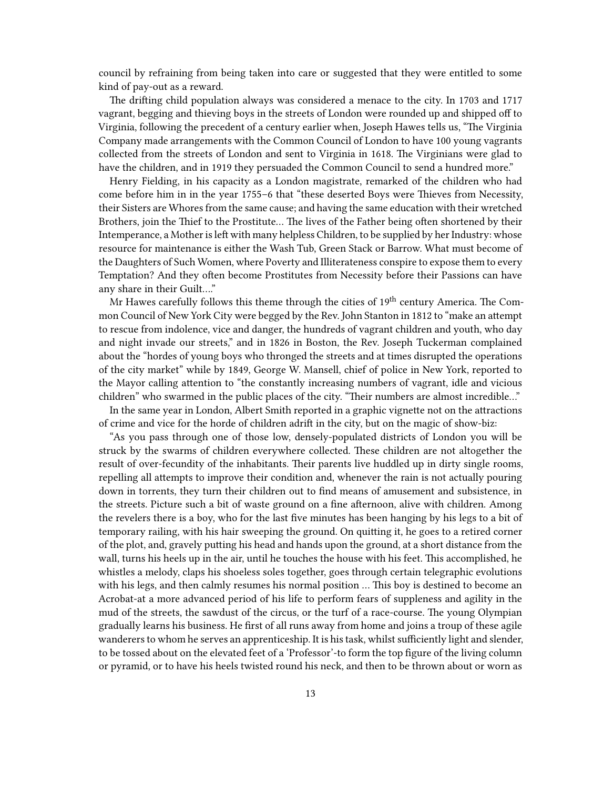council by refraining from being taken into care or suggested that they were entitled to some kind of pay-out as a reward.

The drifting child population always was considered a menace to the city. In 1703 and 1717 vagrant, begging and thieving boys in the streets of London were rounded up and shipped off to Virginia, following the precedent of a century earlier when, Joseph Hawes tells us, "The Virginia Company made arrangements with the Common Council of London to have 100 young vagrants collected from the streets of London and sent to Virginia in 1618. The Virginians were glad to have the children, and in 1919 they persuaded the Common Council to send a hundred more."

Henry Fielding, in his capacity as a London magistrate, remarked of the children who had come before him in in the year 1755–6 that "these deserted Boys were Thieves from Necessity, their Sisters are Whores from the same cause; and having the same education with their wretched Brothers, join the Thief to the Prostitute… The lives of the Father being often shortened by their Intemperance, a Mother is left with many helpless Children, to be supplied by her Industry: whose resource for maintenance is either the Wash Tub, Green Stack or Barrow. What must become of the Daughters of Such Women, where Poverty and Illiterateness conspire to expose them to every Temptation? And they often become Prostitutes from Necessity before their Passions can have any share in their Guilt…."

Mr Hawes carefully follows this theme through the cities of 19<sup>th</sup> century America. The Common Council of New York City were begged by the Rev. John Stanton in 1812 to "make an attempt to rescue from indolence, vice and danger, the hundreds of vagrant children and youth, who day and night invade our streets," and in 1826 in Boston, the Rev. Joseph Tuckerman complained about the "hordes of young boys who thronged the streets and at times disrupted the operations of the city market" while by 1849, George W. Mansell, chief of police in New York, reported to the Mayor calling attention to "the constantly increasing numbers of vagrant, idle and vicious children" who swarmed in the public places of the city. "Their numbers are almost incredible…"

In the same year in London, Albert Smith reported in a graphic vignette not on the attractions of crime and vice for the horde of children adrift in the city, but on the magic of show-biz:

"As you pass through one of those low, densely-populated districts of London you will be struck by the swarms of children everywhere collected. These children are not altogether the result of over-fecundity of the inhabitants. Their parents live huddled up in dirty single rooms, repelling all attempts to improve their condition and, whenever the rain is not actually pouring down in torrents, they turn their children out to find means of amusement and subsistence, in the streets. Picture such a bit of waste ground on a fine afternoon, alive with children. Among the revelers there is a boy, who for the last five minutes has been hanging by his legs to a bit of temporary railing, with his hair sweeping the ground. On quitting it, he goes to a retired corner of the plot, and, gravely putting his head and hands upon the ground, at a short distance from the wall, turns his heels up in the air, until he touches the house with his feet. This accomplished, he whistles a melody, claps his shoeless soles together, goes through certain telegraphic evolutions with his legs, and then calmly resumes his normal position … This boy is destined to become an Acrobat-at a more advanced period of his life to perform fears of suppleness and agility in the mud of the streets, the sawdust of the circus, or the turf of a race-course. The young Olympian gradually learns his business. He first of all runs away from home and joins a troup of these agile wanderers to whom he serves an apprenticeship. It is his task, whilst sufficiently light and slender, to be tossed about on the elevated feet of a 'Professor'-to form the top figure of the living column or pyramid, or to have his heels twisted round his neck, and then to be thrown about or worn as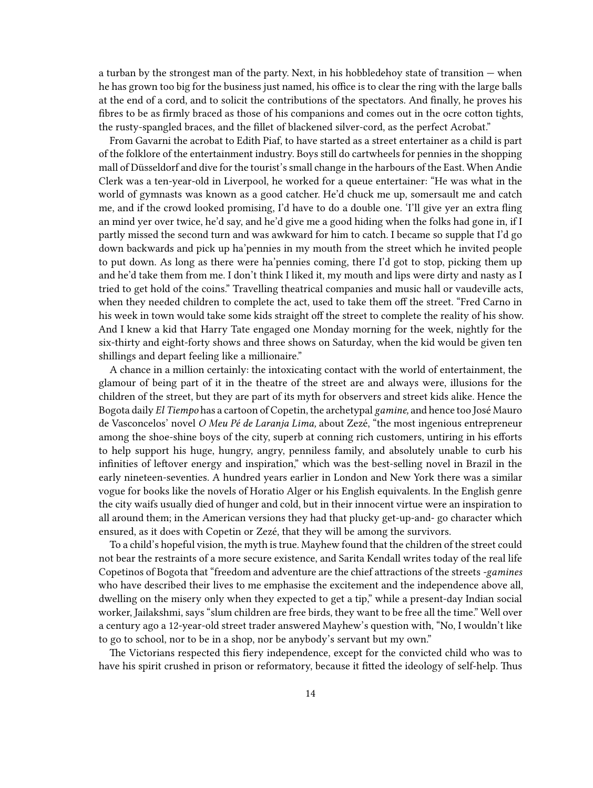a turban by the strongest man of the party. Next, in his hobbledehoy state of transition — when he has grown too big for the business just named, his office is to clear the ring with the large balls at the end of a cord, and to solicit the contributions of the spectators. And finally, he proves his fibres to be as firmly braced as those of his companions and comes out in the ocre cotton tights, the rusty-spangled braces, and the fillet of blackened silver-cord, as the perfect Acrobat."

From Gavarni the acrobat to Edith Piaf, to have started as a street entertainer as a child is part of the folklore of the entertainment industry. Boys still do cartwheels for pennies in the shopping mall of Düsseldorf and dive for the tourist's small change in the harbours of the East. When Andie Clerk was a ten-year-old in Liverpool, he worked for a queue entertainer: "He was what in the world of gymnasts was known as a good catcher. He'd chuck me up, somersault me and catch me, and if the crowd looked promising, I'd have to do a double one. 'I'll give yer an extra fling an mind yer over twice, he'd say, and he'd give me a good hiding when the folks had gone in, if I partly missed the second turn and was awkward for him to catch. I became so supple that I'd go down backwards and pick up ha'pennies in my mouth from the street which he invited people to put down. As long as there were ha'pennies coming, there I'd got to stop, picking them up and he'd take them from me. I don't think I liked it, my mouth and lips were dirty and nasty as I tried to get hold of the coins." Travelling theatrical companies and music hall or vaudeville acts, when they needed children to complete the act, used to take them off the street. "Fred Carno in his week in town would take some kids straight off the street to complete the reality of his show. And I knew a kid that Harry Tate engaged one Monday morning for the week, nightly for the six-thirty and eight-forty shows and three shows on Saturday, when the kid would be given ten shillings and depart feeling like a millionaire."

A chance in a million certainly: the intoxicating contact with the world of entertainment, the glamour of being part of it in the theatre of the street are and always were, illusions for the children of the street, but they are part of its myth for observers and street kids alike. Hence the Bogota daily *El Tiempo* has a cartoon of Copetin, the archetypal *gamine,* and hence too José Mauro de Vasconcelos' novel *O Meu Pé de Laranja Lima,* about Zezé, "the most ingenious entrepreneur among the shoe-shine boys of the city, superb at conning rich customers, untiring in his efforts to help support his huge, hungry, angry, penniless family, and absolutely unable to curb his infinities of leftover energy and inspiration," which was the best-selling novel in Brazil in the early nineteen-seventies. A hundred years earlier in London and New York there was a similar vogue for books like the novels of Horatio Alger or his English equivalents. In the English genre the city waifs usually died of hunger and cold, but in their innocent virtue were an inspiration to all around them; in the American versions they had that plucky get-up-and- go character which ensured, as it does with Copetin or Zezé, that they will be among the survivors.

To a child's hopeful vision, the myth is true. Mayhew found that the children of the street could not bear the restraints of a more secure existence, and Sarita Kendall writes today of the real life Copetinos of Bogota that "freedom and adventure are the chief attractions of the streets *-gamines* who have described their lives to me emphasise the excitement and the independence above all, dwelling on the misery only when they expected to get a tip," while a present-day Indian social worker, Jailakshmi, says "slum children are free birds, they want to be free all the time." Well over a century ago a 12-year-old street trader answered Mayhew's question with, "No, I wouldn't like to go to school, nor to be in a shop, nor be anybody's servant but my own."

The Victorians respected this fiery independence, except for the convicted child who was to have his spirit crushed in prison or reformatory, because it fitted the ideology of self-help. Thus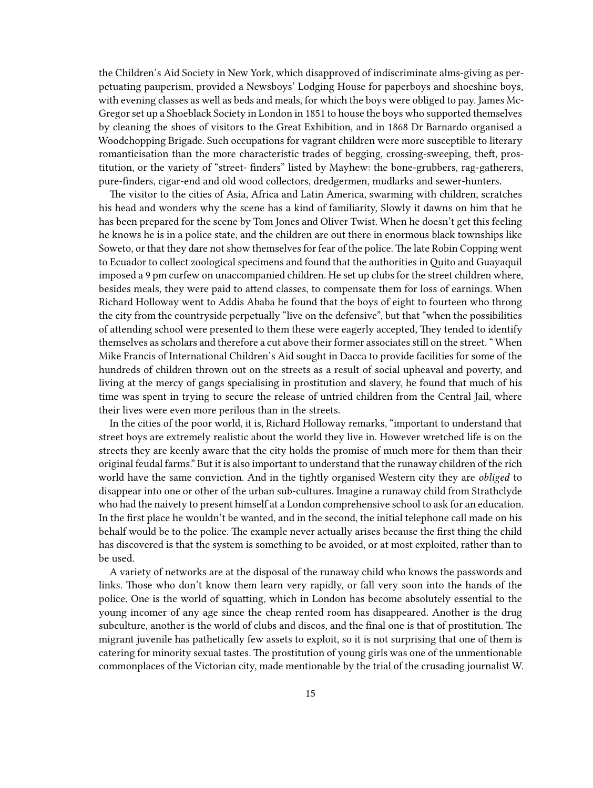the Children's Aid Society in New York, which disapproved of indiscriminate alms-giving as perpetuating pauperism, provided a Newsboys' Lodging House for paperboys and shoeshine boys, with evening classes as well as beds and meals, for which the boys were obliged to pay. James Mc-Gregor set up a Shoeblack Society in London in 1851 to house the boys who supported themselves by cleaning the shoes of visitors to the Great Exhibition, and in 1868 Dr Barnardo organised a Woodchopping Brigade. Such occupations for vagrant children were more susceptible to literary romanticisation than the more characteristic trades of begging, crossing-sweeping, theft, prostitution, or the variety of "street- finders" listed by Mayhew: the bone-grubbers, rag-gatherers, pure-finders, cigar-end and old wood collectors, dredgermen, mudlarks and sewer-hunters.

The visitor to the cities of Asia, Africa and Latin America, swarming with children, scratches his head and wonders why the scene has a kind of familiarity, Slowly it dawns on him that he has been prepared for the scene by Tom Jones and Oliver Twist. When he doesn't get this feeling he knows he is in a police state, and the children are out there in enormous black townships like Soweto, or that they dare not show themselves for fear of the police. The late Robin Copping went to Ecuador to collect zoological specimens and found that the authorities inQuito and Guayaquil imposed a 9 pm curfew on unaccompanied children. He set up clubs for the street children where, besides meals, they were paid to attend classes, to compensate them for loss of earnings. When Richard Holloway went to Addis Ababa he found that the boys of eight to fourteen who throng the city from the countryside perpetually "live on the defensive", but that "when the possibilities of attending school were presented to them these were eagerly accepted, They tended to identify themselves as scholars and therefore a cut above their former associates still on the street. " When Mike Francis of International Children's Aid sought in Dacca to provide facilities for some of the hundreds of children thrown out on the streets as a result of social upheaval and poverty, and living at the mercy of gangs specialising in prostitution and slavery, he found that much of his time was spent in trying to secure the release of untried children from the Central Jail, where their lives were even more perilous than in the streets.

In the cities of the poor world, it is, Richard Holloway remarks, "important to understand that street boys are extremely realistic about the world they live in. However wretched life is on the streets they are keenly aware that the city holds the promise of much more for them than their original feudal farms." But it is also important to understand that the runaway children of the rich world have the same conviction. And in the tightly organised Western city they are *obliged* to disappear into one or other of the urban sub-cultures. Imagine a runaway child from Strathclyde who had the naivety to present himself at a London comprehensive school to ask for an education. In the first place he wouldn't be wanted, and in the second, the initial telephone call made on his behalf would be to the police. The example never actually arises because the first thing the child has discovered is that the system is something to be avoided, or at most exploited, rather than to be used.

A variety of networks are at the disposal of the runaway child who knows the passwords and links. Those who don't know them learn very rapidly, or fall very soon into the hands of the police. One is the world of squatting, which in London has become absolutely essential to the young incomer of any age since the cheap rented room has disappeared. Another is the drug subculture, another is the world of clubs and discos, and the final one is that of prostitution. The migrant juvenile has pathetically few assets to exploit, so it is not surprising that one of them is catering for minority sexual tastes. The prostitution of young girls was one of the unmentionable commonplaces of the Victorian city, made mentionable by the trial of the crusading journalist W.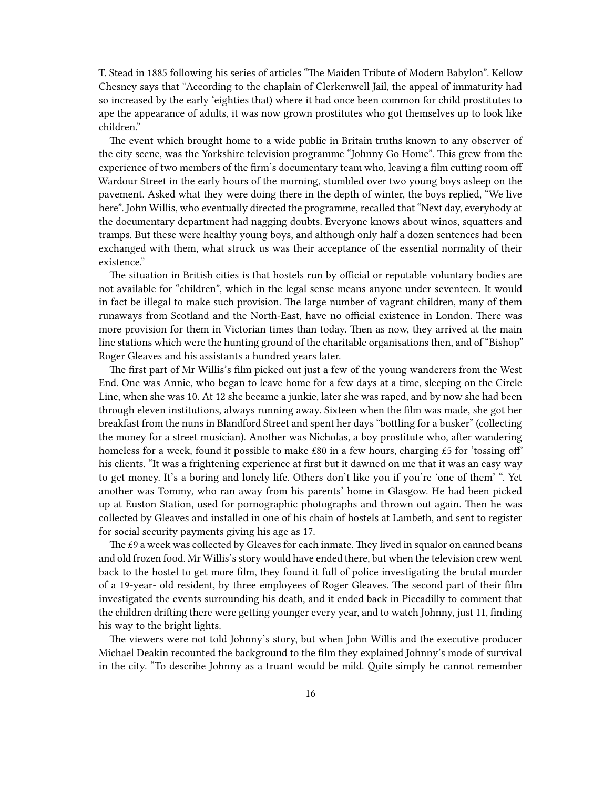T. Stead in 1885 following his series of articles "The Maiden Tribute of Modern Babylon". Kellow Chesney says that "According to the chaplain of Clerkenwell Jail, the appeal of immaturity had so increased by the early 'eighties that) where it had once been common for child prostitutes to ape the appearance of adults, it was now grown prostitutes who got themselves up to look like children."

The event which brought home to a wide public in Britain truths known to any observer of the city scene, was the Yorkshire television programme "Johnny Go Home". This grew from the experience of two members of the firm's documentary team who, leaving a film cutting room off Wardour Street in the early hours of the morning, stumbled over two young boys asleep on the pavement. Asked what they were doing there in the depth of winter, the boys replied, "We live here". John Willis, who eventually directed the programme, recalled that "Next day, everybody at the documentary department had nagging doubts. Everyone knows about winos, squatters and tramps. But these were healthy young boys, and although only half a dozen sentences had been exchanged with them, what struck us was their acceptance of the essential normality of their existence."

The situation in British cities is that hostels run by official or reputable voluntary bodies are not available for "children", which in the legal sense means anyone under seventeen. It would in fact be illegal to make such provision. The large number of vagrant children, many of them runaways from Scotland and the North-East, have no official existence in London. There was more provision for them in Victorian times than today. Then as now, they arrived at the main line stations which were the hunting ground of the charitable organisations then, and of "Bishop" Roger Gleaves and his assistants a hundred years later.

The first part of Mr Willis's film picked out just a few of the young wanderers from the West End. One was Annie, who began to leave home for a few days at a time, sleeping on the Circle Line, when she was 10. At 12 she became a junkie, later she was raped, and by now she had been through eleven institutions, always running away. Sixteen when the film was made, she got her breakfast from the nuns in Blandford Street and spent her days "bottling for a busker" (collecting the money for a street musician). Another was Nicholas, a boy prostitute who, after wandering homeless for a week, found it possible to make  $£80$  in a few hours, charging  $£5$  for 'tossing off' his clients. "It was a frightening experience at first but it dawned on me that it was an easy way to get money. It's a boring and lonely life. Others don't like you if you're 'one of them' ". Yet another was Tommy, who ran away from his parents' home in Glasgow. He had been picked up at Euston Station, used for pornographic photographs and thrown out again. Then he was collected by Gleaves and installed in one of his chain of hostels at Lambeth, and sent to register for social security payments giving his age as 17.

The  $\epsilon$ 9 a week was collected by Gleaves for each inmate. They lived in squalor on canned beans and old frozen food. Mr Willis's story would have ended there, but when the television crew went back to the hostel to get more film, they found it full of police investigating the brutal murder of a 19-year- old resident, by three employees of Roger Gleaves. The second part of their film investigated the events surrounding his death, and it ended back in Piccadilly to comment that the children drifting there were getting younger every year, and to watch Johnny, just 11, finding his way to the bright lights.

The viewers were not told Johnny's story, but when John Willis and the executive producer Michael Deakin recounted the background to the film they explained Johnny's mode of survival in the city. "To describe Johnny as a truant would be mild. Quite simply he cannot remember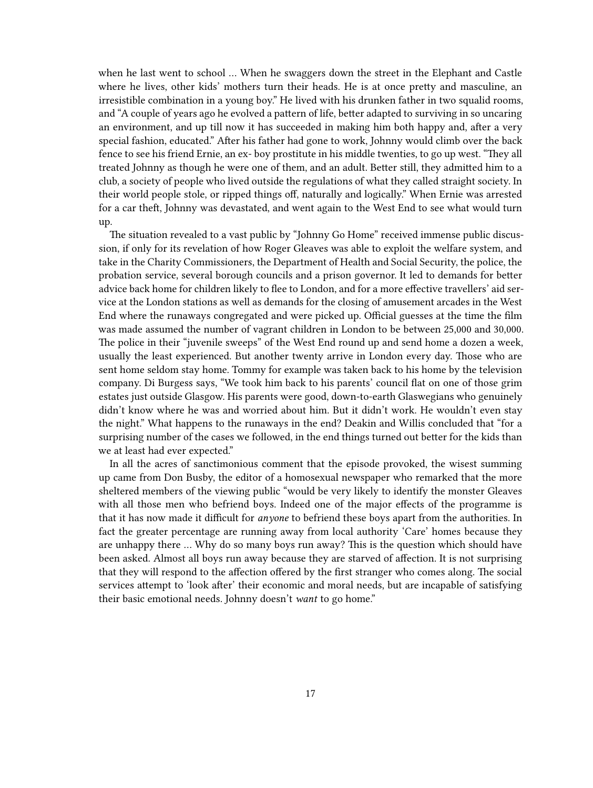when he last went to school … When he swaggers down the street in the Elephant and Castle where he lives, other kids' mothers turn their heads. He is at once pretty and masculine, an irresistible combination in a young boy." He lived with his drunken father in two squalid rooms, and "A couple of years ago he evolved a pattern of life, better adapted to surviving in so uncaring an environment, and up till now it has succeeded in making him both happy and, after a very special fashion, educated." After his father had gone to work, Johnny would climb over the back fence to see his friend Ernie, an ex- boy prostitute in his middle twenties, to go up west. "They all treated Johnny as though he were one of them, and an adult. Better still, they admitted him to a club, a society of people who lived outside the regulations of what they called straight society. In their world people stole, or ripped things off, naturally and logically." When Ernie was arrested for a car theft, Johnny was devastated, and went again to the West End to see what would turn up.

The situation revealed to a vast public by "Johnny Go Home" received immense public discussion, if only for its revelation of how Roger Gleaves was able to exploit the welfare system, and take in the Charity Commissioners, the Department of Health and Social Security, the police, the probation service, several borough councils and a prison governor. It led to demands for better advice back home for children likely to flee to London, and for a more effective travellers' aid service at the London stations as well as demands for the closing of amusement arcades in the West End where the runaways congregated and were picked up. Official guesses at the time the film was made assumed the number of vagrant children in London to be between 25,000 and 30,000. The police in their "juvenile sweeps" of the West End round up and send home a dozen a week, usually the least experienced. But another twenty arrive in London every day. Those who are sent home seldom stay home. Tommy for example was taken back to his home by the television company. Di Burgess says, "We took him back to his parents' council flat on one of those grim estates just outside Glasgow. His parents were good, down-to-earth Glaswegians who genuinely didn't know where he was and worried about him. But it didn't work. He wouldn't even stay the night." What happens to the runaways in the end? Deakin and Willis concluded that "for a surprising number of the cases we followed, in the end things turned out better for the kids than we at least had ever expected."

In all the acres of sanctimonious comment that the episode provoked, the wisest summing up came from Don Busby, the editor of a homosexual newspaper who remarked that the more sheltered members of the viewing public "would be very likely to identify the monster Gleaves with all those men who befriend boys. Indeed one of the major effects of the programme is that it has now made it difficult for *anyone* to befriend these boys apart from the authorities. In fact the greater percentage are running away from local authority 'Care' homes because they are unhappy there … Why do so many boys run away? This is the question which should have been asked. Almost all boys run away because they are starved of affection. It is not surprising that they will respond to the affection offered by the first stranger who comes along. The social services attempt to 'look after' their economic and moral needs, but are incapable of satisfying their basic emotional needs. Johnny doesn't *want* to go home."